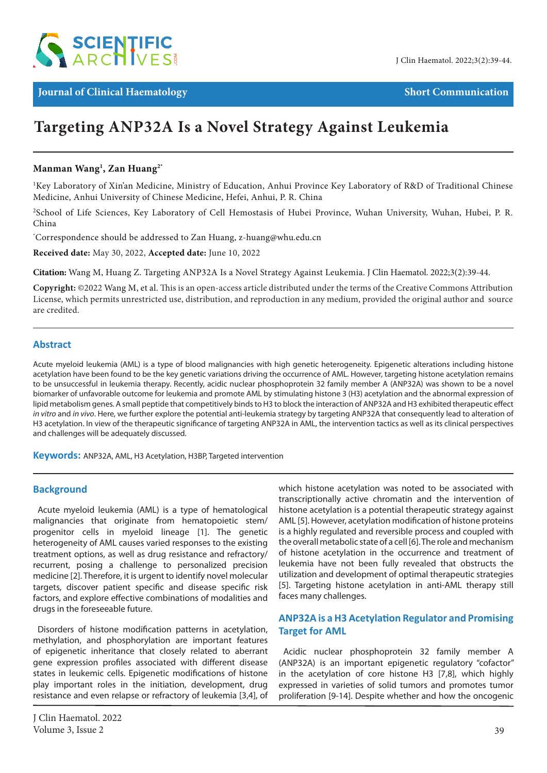

**Journal of Clinical Haematology Short Communication** 

# **Targeting ANP32A Is a Novel Strategy Against Leukemia**

# **Manman Wang1 , Zan Huang2\***

<sup>1</sup>Key Laboratory of Xin'an Medicine, Ministry of Education, Anhui Province Key Laboratory of R&D of Traditional Chinese Medicine, Anhui University of Chinese Medicine, Hefei, Anhui, P. R. China

<sup>2</sup>School of Life Sciences, Key Laboratory of Cell Hemostasis of Hubei Province, Wuhan University, Wuhan, Hubei, P. R. China

\* Correspondence should be addressed to Zan Huang, z-huang@whu.edu.cn

**Received date:** May 30, 2022, **Accepted date:** June 10, 2022

**Citation:** Wang M, Huang Z. Targeting ANP32A Is a Novel Strategy Against Leukemia. J Clin Haematol. 2022;3(2):39-44.

**Copyright:** ©2022 Wang M, et al. This is an open-access article distributed under the terms of the Creative Commons Attribution License, which permits unrestricted use, distribution, and reproduction in any medium, provided the original author and source are credited.

## **Abstract**

Acute myeloid leukemia (AML) is a type of blood malignancies with high genetic heterogeneity. Epigenetic alterations including histone acetylation have been found to be the key genetic variations driving the occurrence of AML. However, targeting histone acetylation remains to be unsuccessful in leukemia therapy. Recently, acidic nuclear phosphoprotein 32 family member A (ANP32A) was shown to be a novel biomarker of unfavorable outcome for leukemia and promote AML by stimulating histone 3 (H3) acetylation and the abnormal expression of lipid metabolism genes. A small peptide that competitively binds to H3 to block the interaction of ANP32A and H3 exhibited therapeutic effect *in vitro* and *in vivo*. Here, we further explore the potential anti-leukemia strategy by targeting ANP32A that consequently lead to alteration of H3 acetylation. In view of the therapeutic significance of targeting ANP32A in AML, the intervention tactics as well as its clinical perspectives and challenges will be adequately discussed.

**Keywords:** ANP32A, AML, H3 Acetylation, H3BP, Targeted intervention

#### **Background**

Acute myeloid leukemia (AML) is a type of hematological malignancies that originate from hematopoietic stem/ progenitor cells in myeloid lineage [1]. The genetic heterogeneity of AML causes varied responses to the existing treatment options, as well as drug resistance and refractory/ recurrent, posing a challenge to personalized precision medicine [2]. Therefore, it is urgent to identify novel molecular targets, discover patient specific and disease specific risk factors, and explore effective combinations of modalities and drugs in the foreseeable future.

Disorders of histone modification patterns in acetylation, methylation, and phosphorylation are important features of epigenetic inheritance that closely related to aberrant gene expression profiles associated with different disease states in leukemic cells. Epigenetic modifications of histone play important roles in the initiation, development, drug resistance and even relapse or refractory of leukemia [3,4], of

which histone acetylation was noted to be associated with transcriptionally active chromatin and the intervention of histone acetylation is a potential therapeutic strategy against AML [5]. However, acetylation modification of histone proteins is a highly regulated and reversible process and coupled with the overall metabolic state of a cell [6]. The role and mechanism of histone acetylation in the occurrence and treatment of leukemia have not been fully revealed that obstructs the utilization and development of optimal therapeutic strategies [5]. Targeting histone acetylation in anti-AML therapy still faces many challenges.

# **ANP32A is a H3 Acetylation Regulator and Promising Target for AML**

Acidic nuclear phosphoprotein 32 family member A (ANP32A) is an important epigenetic regulatory "cofactor" in the acetylation of core histone H3 [7,8], which highly expressed in varieties of solid tumors and promotes tumor proliferation [9-14]. Despite whether and how the oncogenic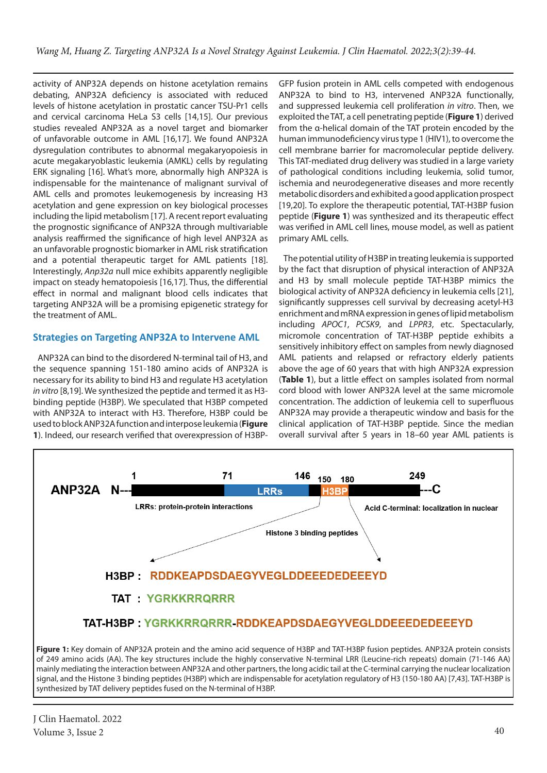activity of ANP32A depends on histone acetylation remains debating, ANP32A deficiency is associated with reduced levels of histone acetylation in prostatic cancer TSU-Pr1 cells and cervical carcinoma HeLa S3 cells [14,15]. Our previous studies revealed ANP32A as a novel target and biomarker of unfavorable outcome in AML [16,17]. We found ANP32A dysregulation contributes to abnormal megakaryopoiesis in acute megakaryoblastic leukemia (AMKL) cells by regulating ERK signaling [16]. What's more, abnormally high ANP32A is indispensable for the maintenance of malignant survival of AML cells and promotes leukemogenesis by increasing H3 acetylation and gene expression on key biological processes including the lipid metabolism [17]. A recent report evaluating the prognostic significance of ANP32A through multivariable analysis reaffirmed the significance of high level ANP32A as an unfavorable prognostic biomarker in AML risk stratification and a potential therapeutic target for AML patients [18]. Interestingly, *Anp32a* null mice exhibits apparently negligible impact on steady hematopoiesis [16,17]. Thus, the differential effect in normal and malignant blood cells indicates that targeting ANP32A will be a promising epigenetic strategy for the treatment of AML.

## **Strategies on Targeting ANP32A to Intervene AML**

ANP32A can bind to the disordered N-terminal tail of H3, and the sequence spanning 151-180 amino acids of ANP32A is necessary for its ability to bind H3 and regulate H3 acetylation *in vitro* [8,19]. We synthesized the peptide and termed it as H3 binding peptide (H3BP). We speculated that H3BP competed with ANP32A to interact with H3. Therefore, H3BP could be used to block ANP32A function and interpose leukemia (**Figure 1**). Indeed, our research verified that overexpression of H3BP-

GFP fusion protein in AML cells competed with endogenous ANP32A to bind to H3, intervened ANP32A functionally, and suppressed leukemia cell proliferation *in vitro*. Then, we exploited the TAT, a cell penetrating peptide (**Figure 1**) derived from the α-helical domain of the TAT protein encoded by the human immunodeficiency virus type 1 (HIV1), to overcome the cell membrane barrier for macromolecular peptide delivery. This TAT-mediated drug delivery was studied in a large variety of pathological conditions including leukemia, solid tumor, ischemia and neurodegenerative diseases and more recently metabolic disorders and exhibited a good application prospect [19,20]. To explore the therapeutic potential, TAT-H3BP fusion peptide (**Figure 1**) was synthesized and its therapeutic effect was verified in AML cell lines, mouse model, as well as patient primary AML cells.

The potential utility of H3BP in treating leukemia is supported by the fact that disruption of physical interaction of ANP32A and H3 by small molecule peptide TAT-H3BP mimics the biological activity of ANP32A deficiency in leukemia cells [21], significantly suppresses cell survival by decreasing acetyl-H3 enrichment and mRNA expression in genes of lipid metabolism including *APOC1*, *PCSK9*, and *LPPR3*, etc. Spectacularly, micromole concentration of TAT-H3BP peptide exhibits a sensitively inhibitory effect on samples from newly diagnosed AML patients and relapsed or refractory elderly patients above the age of 60 years that with high ANP32A expression (**Table 1**), but a little effect on samples isolated from normal cord blood with lower ANP32A level at the same micromole concentration. The addiction of leukemia cell to superfluous ANP32A may provide a therapeutic window and basis for the clinical application of TAT-H3BP peptide. Since the median overall survival after 5 years in 18–60 year AML patients is



J Clin Haematol. 2022 Volume 3, Issue 2  $\sim$  40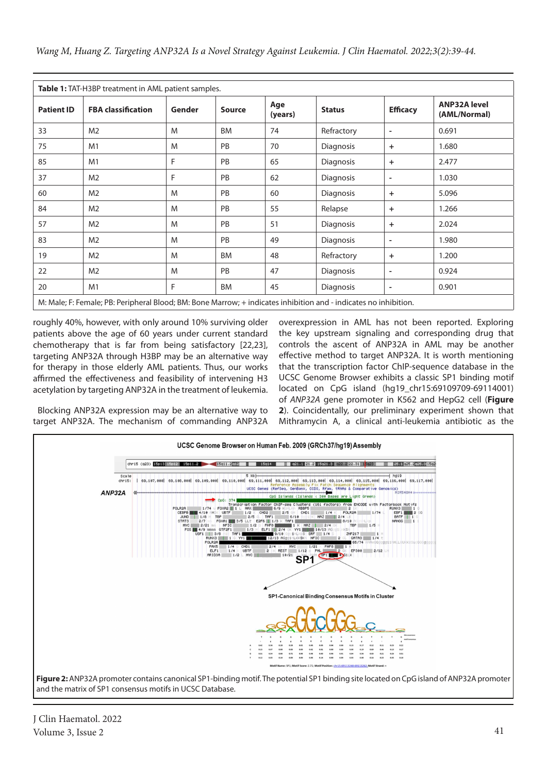| Table 1: TAT-H3BP treatment in AML patient samples. |                                                                                                                  |        |               |                |                  |                          |                                     |
|-----------------------------------------------------|------------------------------------------------------------------------------------------------------------------|--------|---------------|----------------|------------------|--------------------------|-------------------------------------|
| <b>Patient ID</b>                                   | <b>FBA classification</b>                                                                                        | Gender | <b>Source</b> | Age<br>(years) | <b>Status</b>    | <b>Efficacy</b>          | <b>ANP32A level</b><br>(AML/Normal) |
| 33                                                  | M <sub>2</sub>                                                                                                   | M      | <b>BM</b>     | 74             | Refractory       | ٠                        | 0.691                               |
| 75                                                  | M1                                                                                                               | M      | PB            | 70             | <b>Diagnosis</b> | $\ddot{}$                | 1.680                               |
| 85                                                  | M1                                                                                                               | F      | <b>PB</b>     | 65             | Diagnosis        | $\ddot{}$                | 2.477                               |
| 37                                                  | M <sub>2</sub>                                                                                                   | F      | <b>PB</b>     | 62             | Diagnosis        | ٠                        | 1.030                               |
| 60                                                  | M <sub>2</sub>                                                                                                   | M      | <b>PB</b>     | 60             | Diagnosis        | $\ddot{}$                | 5.096                               |
| 84                                                  | M <sub>2</sub>                                                                                                   | M      | PB            | 55             | Relapse          | $\ddot{}$                | 1.266                               |
| 57                                                  | M <sub>2</sub>                                                                                                   | M      | <b>PB</b>     | 51             | Diagnosis        | $\ddot{}$                | 2.024                               |
| 83                                                  | M <sub>2</sub>                                                                                                   | M      | <b>PB</b>     | 49             | Diagnosis        | $\overline{\phantom{a}}$ | 1.980                               |
| 19                                                  | M <sub>2</sub>                                                                                                   | M      | <b>BM</b>     | 48             | Refractory       | $\ddot{}$                | 1.200                               |
| 22                                                  | M <sub>2</sub>                                                                                                   | M      | <b>PB</b>     | 47             | Diagnosis        | ٠                        | 0.924                               |
| 20                                                  | M1                                                                                                               | F      | <b>BM</b>     | 45             | Diagnosis        | ٠                        | 0.901                               |
|                                                     | M: Male; F: Female; PB: Peripheral Blood; BM: Bone Marrow; + indicates inhibition and - indicates no inhibition. |        |               |                |                  |                          |                                     |

roughly 40%, however, with only around 10% surviving older patients above the age of 60 years under current standard chemotherapy that is far from being satisfactory [22,23], targeting ANP32A through H3BP may be an alternative way for therapy in those elderly AML patients. Thus, our works affirmed the effectiveness and feasibility of intervening H3 acetylation by targeting ANP32A in the treatment of leukemia.

overexpression in AML has not been reported. Exploring the key upstream signaling and corresponding drug that controls the ascent of ANP32A in AML may be another effective method to target ANP32A. It is worth mentioning that the transcription factor ChIP-sequence database in the UCSC Genome Browser exhibits a classic SP1 binding motif located on CpG island (hg19\_chr15:69109709-69114001) of *ANP32A* gene promoter in K562 and HepG2 cell (**Figure 2**). Coincidentally, our preliminary experiment shown that Mithramycin A, a clinical anti-leukemia antibiotic as the

Blocking ANP32A expression may be an alternative way to target ANP32A. The mechanism of commanding ANP32A



J Clin Haematol. 2022 Volume 3, Issue 2  $\hspace{1.5cm}$  41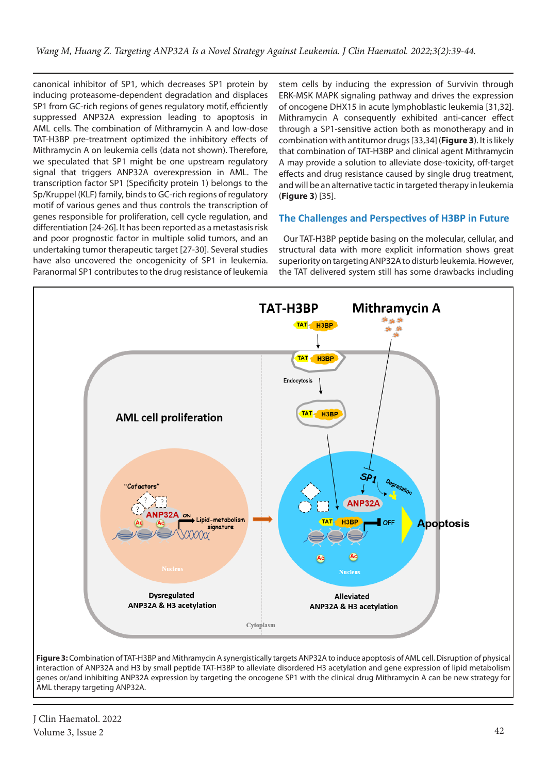canonical inhibitor of SP1, which decreases SP1 protein by inducing proteasome-dependent degradation and displaces SP1 from GC-rich regions of genes regulatory motif, efficiently suppressed ANP32A expression leading to apoptosis in AML cells. The combination of Mithramycin A and low-dose TAT-H3BP pre-treatment optimized the inhibitory effects of Mithramycin A on leukemia cells (data not shown). Therefore, we speculated that SP1 might be one upstream regulatory signal that triggers ANP32A overexpression in AML. The transcription factor SP1 (Specificity protein 1) belongs to the Sp/Kruppel (KLF) family, binds to GC-rich regions of regulatory motif of various genes and thus controls the transcription of genes responsible for proliferation, cell cycle regulation, and differentiation [24-26]. It has been reported as a metastasis risk and poor prognostic factor in multiple solid tumors, and an undertaking tumor therapeutic target [27-30]. Several studies have also uncovered the oncogenicity of SP1 in leukemia. Paranormal SP1 contributes to the drug resistance of leukemia

stem cells by inducing the expression of Survivin through ERK-MSK MAPK signaling pathway and drives the expression of oncogene DHX15 in acute lymphoblastic leukemia [31,32]. Mithramycin A consequently exhibited anti-cancer effect through a SP1-sensitive action both as monotherapy and in combination with antitumor drugs [33,34] (**Figure 3**). It is likely that combination of TAT-H3BP and clinical agent Mithramycin A may provide a solution to alleviate dose-toxicity, off-target effects and drug resistance caused by single drug treatment, and will be an alternative tactic in targeted therapy in leukemia (**Figure 3**) [35].

# **The Challenges and Perspectives of H3BP in Future**

Our TAT-H3BP peptide basing on the molecular, cellular, and structural data with more explicit information shows great superiority on targeting ANP32A to disturb leukemia. However, the TAT delivered system still has some drawbacks including



**Figure 3:** Combination of TAT-H3BP and Mithramycin A synergistically targets ANP32A to induce apoptosis of AML cell. Disruption of physical interaction of ANP32A and H3 by small peptide TAT-H3BP to alleviate disordered H3 acetylation and gene expression of lipid metabolism genes or/and inhibiting ANP32A expression by targeting the oncogene SP1 with the clinical drug Mithramycin A can be new strategy for AML therapy targeting ANP32A.

J Clin Haematol. 2022 Volume 3, Issue 2 42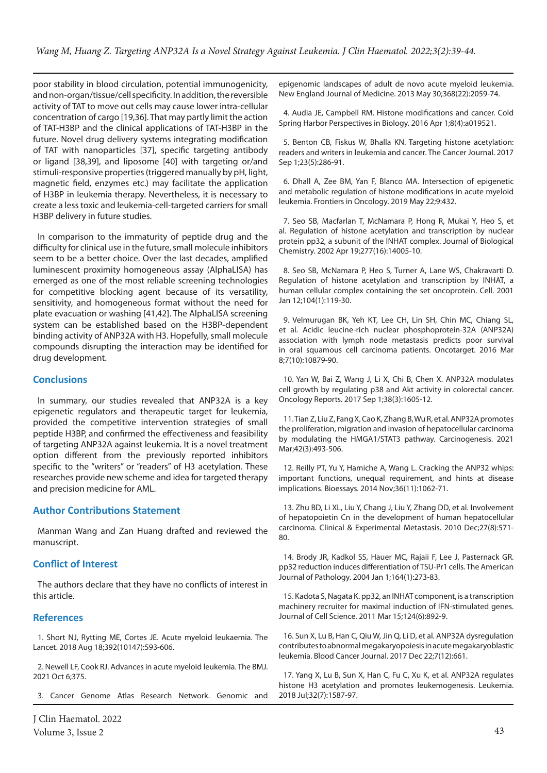poor stability in blood circulation, potential immunogenicity, and non-organ/tissue/cell specificity. In addition, the reversible activity of TAT to move out cells may cause lower intra-cellular concentration of cargo [19,36]. That may partly limit the action of TAT-H3BP and the clinical applications of TAT-H3BP in the future. Novel drug delivery systems integrating modification of TAT with nanoparticles [37], specific targeting antibody or ligand [38,39], and liposome [40] with targeting or/and stimuli-responsive properties (triggered manually by pH, light, magnetic field, enzymes etc.) may facilitate the application of H3BP in leukemia therapy. Nevertheless, it is necessary to create a less toxic and leukemia-cell-targeted carriers for small H3BP delivery in future studies.

In comparison to the immaturity of peptide drug and the difficulty for clinical use in the future, small molecule inhibitors seem to be a better choice. Over the last decades, amplified luminescent proximity homogeneous assay (AlphaLISA) has emerged as one of the most reliable screening technologies for competitive blocking agent because of its versatility, sensitivity, and homogeneous format without the need for plate evacuation or washing [41,42]. The AlphaLISA screening system can be established based on the H3BP-dependent binding activity of ANP32A with H3. Hopefully, small molecule compounds disrupting the interaction may be identified for drug development.

## **Conclusions**

In summary, our studies revealed that ANP32A is a key epigenetic regulators and therapeutic target for leukemia, provided the competitive intervention strategies of small peptide H3BP, and confirmed the effectiveness and feasibility of targeting ANP32A against leukemia. It is a novel treatment option different from the previously reported inhibitors specific to the "writers" or "readers" of H3 acetylation. These researches provide new scheme and idea for targeted therapy and precision medicine for AML.

#### **Author Contributions Statement**

Manman Wang and Zan Huang drafted and reviewed the manuscript.

#### **Conflict of Interest**

The authors declare that they have no conflicts of interest in this article.

#### **References**

1. Short NJ, Rytting ME, Cortes JE. Acute myeloid leukaemia. The Lancet. 2018 Aug 18;392(10147):593-606.

2. Newell LF, Cook RJ. Advances in acute myeloid leukemia. The BMJ. 2021 Oct 6;375.

3. Cancer Genome Atlas Research Network. Genomic and

J Clin Haematol. 2022 Volume 3, Issue 2 43

epigenomic landscapes of adult de novo acute myeloid leukemia. New England Journal of Medicine. 2013 May 30;368(22):2059-74.

4. Audia JE, Campbell RM. Histone modifications and cancer. Cold Spring Harbor Perspectives in Biology. 2016 Apr 1;8(4):a019521.

5. Benton CB, Fiskus W, Bhalla KN. Targeting histone acetylation: readers and writers in leukemia and cancer. The Cancer Journal. 2017 Sep 1;23(5):286-91.

6. Dhall A, Zee BM, Yan F, Blanco MA. Intersection of epigenetic and metabolic regulation of histone modifications in acute myeloid leukemia. Frontiers in Oncology. 2019 May 22;9:432.

7. Seo SB, Macfarlan T, McNamara P, Hong R, Mukai Y, Heo S, et al. Regulation of histone acetylation and transcription by nuclear protein pp32, a subunit of the INHAT complex. Journal of Biological Chemistry. 2002 Apr 19;277(16):14005-10.

8. Seo SB, McNamara P, Heo S, Turner A, Lane WS, Chakravarti D. Regulation of histone acetylation and transcription by INHAT, a human cellular complex containing the set oncoprotein. Cell. 2001 Jan 12;104(1):119-30.

9. Velmurugan BK, Yeh KT, Lee CH, Lin SH, Chin MC, Chiang SL, et al. Acidic leucine-rich nuclear phosphoprotein-32A (ANP32A) association with lymph node metastasis predicts poor survival in oral squamous cell carcinoma patients. Oncotarget. 2016 Mar 8;7(10):10879-90.

10. Yan W, Bai Z, Wang J, Li X, Chi B, Chen X. ANP32A modulates cell growth by regulating p38 and Akt activity in colorectal cancer. Oncology Reports. 2017 Sep 1;38(3):1605-12.

11. Tian Z, Liu Z, Fang X, Cao K, Zhang B, Wu R, et al. ANP32A promotes the proliferation, migration and invasion of hepatocellular carcinoma by modulating the HMGA1/STAT3 pathway. Carcinogenesis. 2021 Mar;42(3):493-506.

12. Reilly PT, Yu Y, Hamiche A, Wang L. Cracking the ANP32 whips: important functions, unequal requirement, and hints at disease implications. Bioessays. 2014 Nov;36(11):1062-71.

13. Zhu BD, Li XL, Liu Y, Chang J, Liu Y, Zhang DD, et al. Involvement of hepatopoietin Cn in the development of human hepatocellular carcinoma. Clinical & Experimental Metastasis. 2010 Dec;27(8):571- 80.

14. Brody JR, Kadkol SS, Hauer MC, Rajaii F, Lee J, Pasternack GR. pp32 reduction induces differentiation of TSU-Pr1 cells. The American Journal of Pathology. 2004 Jan 1;164(1):273-83.

15. Kadota S, Nagata K. pp32, an INHAT component, is a transcription machinery recruiter for maximal induction of IFN-stimulated genes. Journal of Cell Science. 2011 Mar 15;124(6):892-9.

16. Sun X, Lu B, Han C, Qiu W, Jin Q, Li D, et al. ANP32A dysregulation contributes to abnormal megakaryopoiesis in acute megakaryoblastic leukemia. Blood Cancer Journal. 2017 Dec 22;7(12):661.

17. Yang X, Lu B, Sun X, Han C, Fu C, Xu K, et al. ANP32A regulates histone H3 acetylation and promotes leukemogenesis. Leukemia. 2018 Jul;32(7):1587-97.